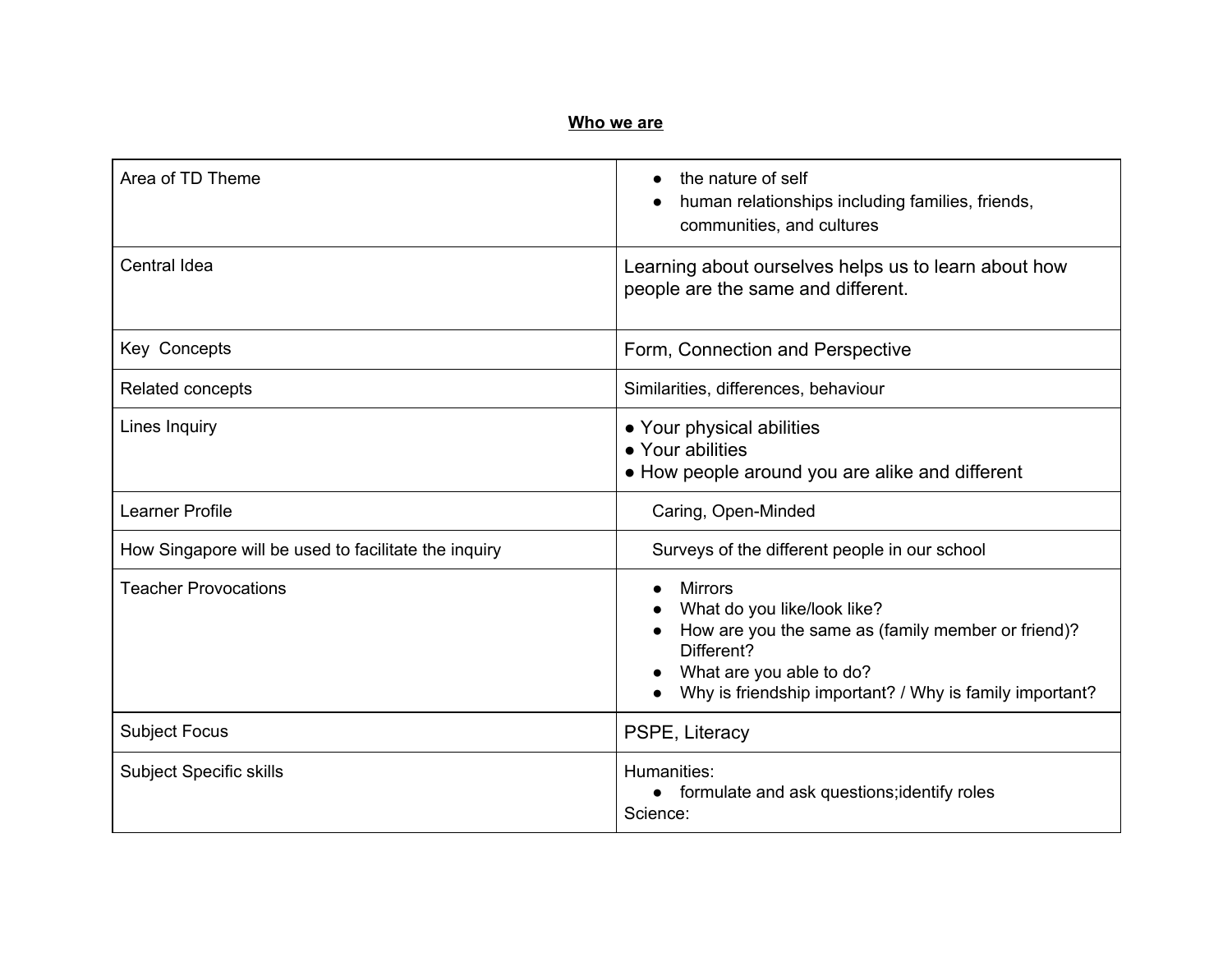## **Who we are**

| Area of TD Theme                                     | the nature of self<br>$\bullet$<br>human relationships including families, friends,<br>communities, and cultures                                                                                         |
|------------------------------------------------------|----------------------------------------------------------------------------------------------------------------------------------------------------------------------------------------------------------|
| <b>Central Idea</b>                                  | Learning about ourselves helps us to learn about how<br>people are the same and different.                                                                                                               |
| Key Concepts                                         | Form, Connection and Perspective                                                                                                                                                                         |
| Related concepts                                     | Similarities, differences, behaviour                                                                                                                                                                     |
| Lines Inquiry                                        | • Your physical abilities<br>• Your abilities<br>• How people around you are alike and different                                                                                                         |
| Learner Profile                                      | Caring, Open-Minded                                                                                                                                                                                      |
| How Singapore will be used to facilitate the inquiry | Surveys of the different people in our school                                                                                                                                                            |
| <b>Teacher Provocations</b>                          | <b>Mirrors</b><br>What do you like/look like?<br>How are you the same as (family member or friend)?<br>Different?<br>What are you able to do?<br>Why is friendship important? / Why is family important? |
| <b>Subject Focus</b>                                 | PSPE, Literacy                                                                                                                                                                                           |
| <b>Subject Specific skills</b>                       | Humanities:<br>formulate and ask questions; identify roles<br>Science:                                                                                                                                   |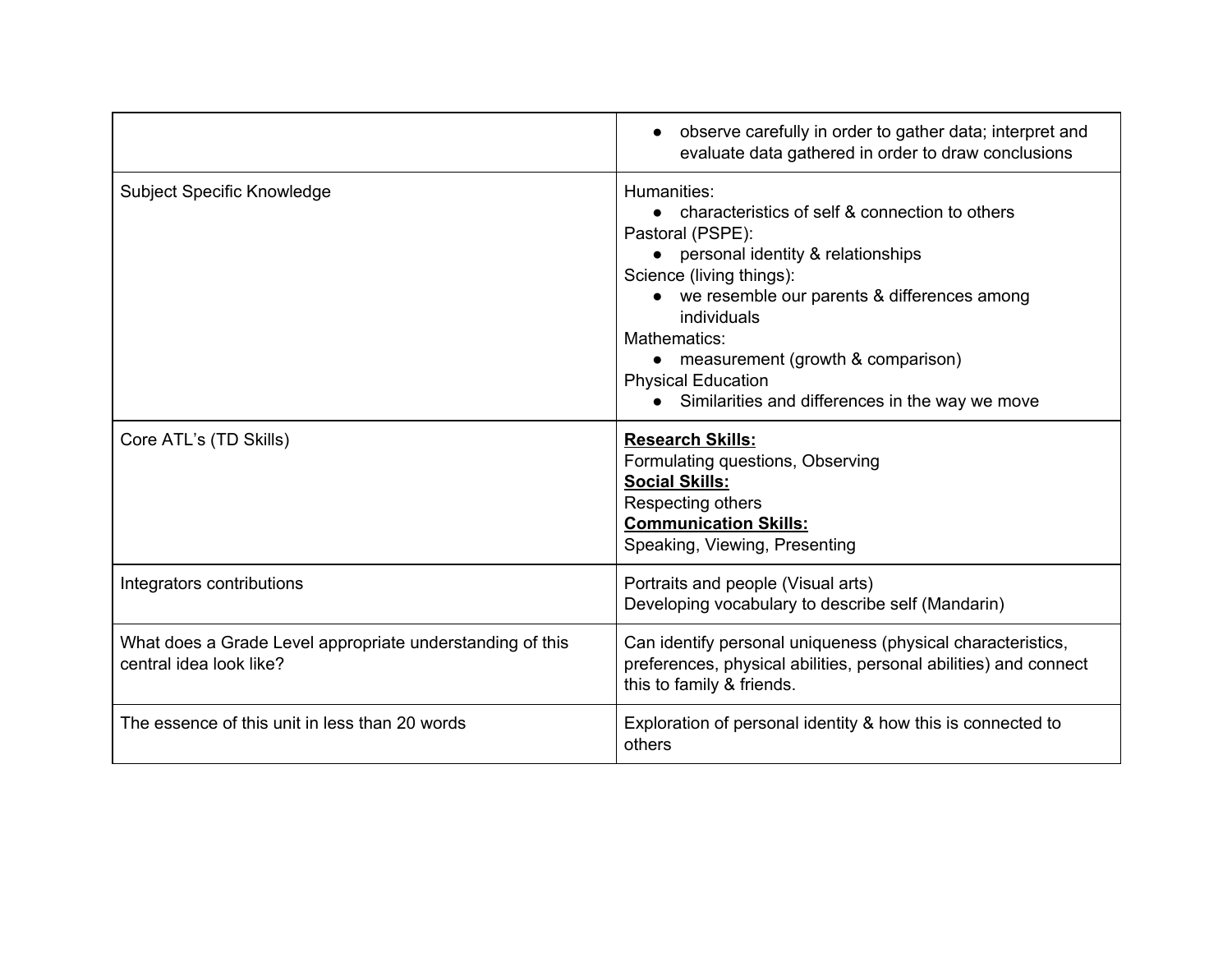|                                                                                      | observe carefully in order to gather data; interpret and<br>evaluate data gathered in order to draw conclusions                                                                                                                                                                                                                                             |
|--------------------------------------------------------------------------------------|-------------------------------------------------------------------------------------------------------------------------------------------------------------------------------------------------------------------------------------------------------------------------------------------------------------------------------------------------------------|
| <b>Subject Specific Knowledge</b>                                                    | Humanities:<br>• characteristics of self & connection to others<br>Pastoral (PSPE):<br>• personal identity & relationships<br>Science (living things):<br>• we resemble our parents & differences among<br>individuals<br>Mathematics:<br>measurement (growth & comparison)<br><b>Physical Education</b><br>Similarities and differences in the way we move |
| Core ATL's (TD Skills)                                                               | <b>Research Skills:</b><br>Formulating questions, Observing<br><b>Social Skills:</b><br>Respecting others<br><b>Communication Skills:</b><br>Speaking, Viewing, Presenting                                                                                                                                                                                  |
| Integrators contributions                                                            | Portraits and people (Visual arts)<br>Developing vocabulary to describe self (Mandarin)                                                                                                                                                                                                                                                                     |
| What does a Grade Level appropriate understanding of this<br>central idea look like? | Can identify personal uniqueness (physical characteristics,<br>preferences, physical abilities, personal abilities) and connect<br>this to family & friends.                                                                                                                                                                                                |
| The essence of this unit in less than 20 words                                       | Exploration of personal identity & how this is connected to<br>others                                                                                                                                                                                                                                                                                       |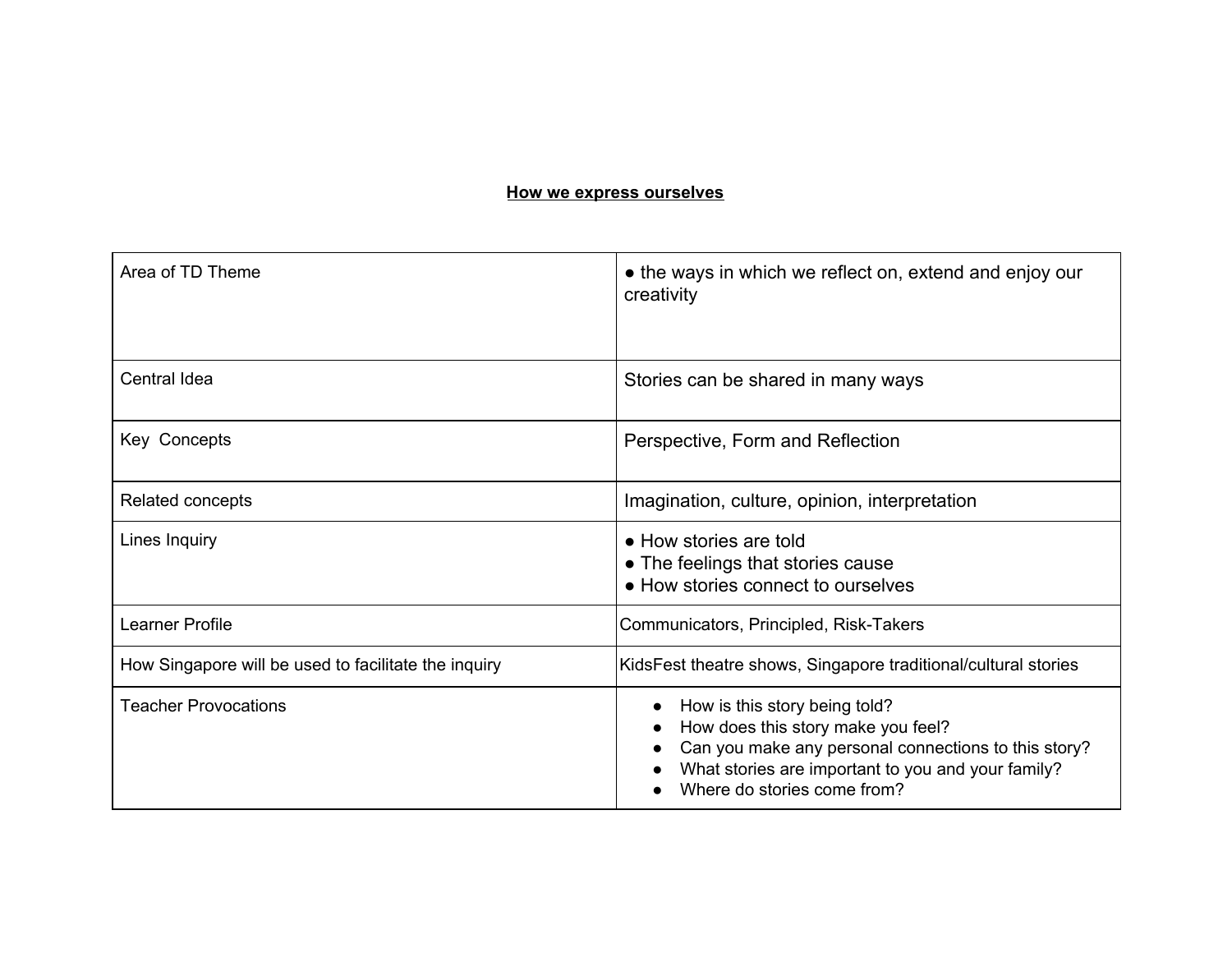## **How we express ourselves**

| Area of TD Theme                                     | • the ways in which we reflect on, extend and enjoy our<br>creativity                                                                                                                                            |
|------------------------------------------------------|------------------------------------------------------------------------------------------------------------------------------------------------------------------------------------------------------------------|
| Central Idea                                         | Stories can be shared in many ways                                                                                                                                                                               |
| Key Concepts                                         | Perspective, Form and Reflection                                                                                                                                                                                 |
| Related concepts                                     | Imagination, culture, opinion, interpretation                                                                                                                                                                    |
| Lines Inquiry                                        | • How stories are told<br>• The feelings that stories cause<br>• How stories connect to ourselves                                                                                                                |
| <b>Learner Profile</b>                               | Communicators, Principled, Risk-Takers                                                                                                                                                                           |
| How Singapore will be used to facilitate the inquiry | KidsFest theatre shows, Singapore traditional/cultural stories                                                                                                                                                   |
| <b>Teacher Provocations</b>                          | How is this story being told?<br>How does this story make you feel?<br>Can you make any personal connections to this story?<br>What stories are important to you and your family?<br>Where do stories come from? |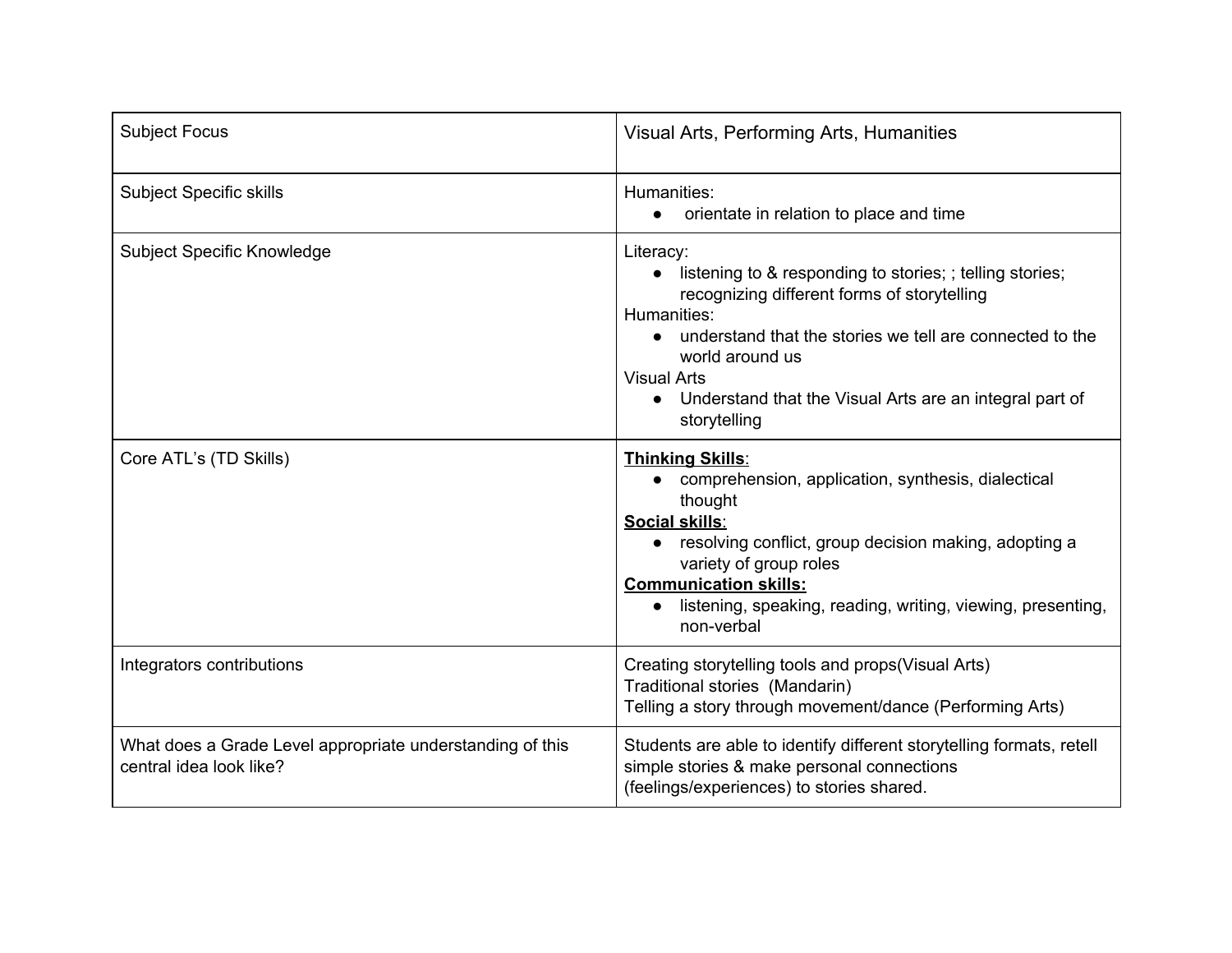| <b>Subject Focus</b>                                                                 | Visual Arts, Performing Arts, Humanities                                                                                                                                                                                                                                                                                                      |
|--------------------------------------------------------------------------------------|-----------------------------------------------------------------------------------------------------------------------------------------------------------------------------------------------------------------------------------------------------------------------------------------------------------------------------------------------|
| <b>Subject Specific skills</b>                                                       | Humanities:<br>orientate in relation to place and time                                                                                                                                                                                                                                                                                        |
| <b>Subject Specific Knowledge</b>                                                    | Literacy:<br>listening to & responding to stories; ; telling stories;<br>$\bullet$<br>recognizing different forms of storytelling<br>Humanities:<br>understand that the stories we tell are connected to the<br>world around us<br><b>Visual Arts</b><br>Understand that the Visual Arts are an integral part of<br>$\bullet$<br>storytelling |
| Core ATL's (TD Skills)                                                               | <b>Thinking Skills:</b><br>• comprehension, application, synthesis, dialectical<br>thought<br>Social skills:<br>resolving conflict, group decision making, adopting a<br>variety of group roles<br><b>Communication skills:</b><br>listening, speaking, reading, writing, viewing, presenting,<br>non-verbal                                  |
| Integrators contributions                                                            | Creating storytelling tools and props(Visual Arts)<br>Traditional stories (Mandarin)<br>Telling a story through movement/dance (Performing Arts)                                                                                                                                                                                              |
| What does a Grade Level appropriate understanding of this<br>central idea look like? | Students are able to identify different storytelling formats, retell<br>simple stories & make personal connections<br>(feelings/experiences) to stories shared.                                                                                                                                                                               |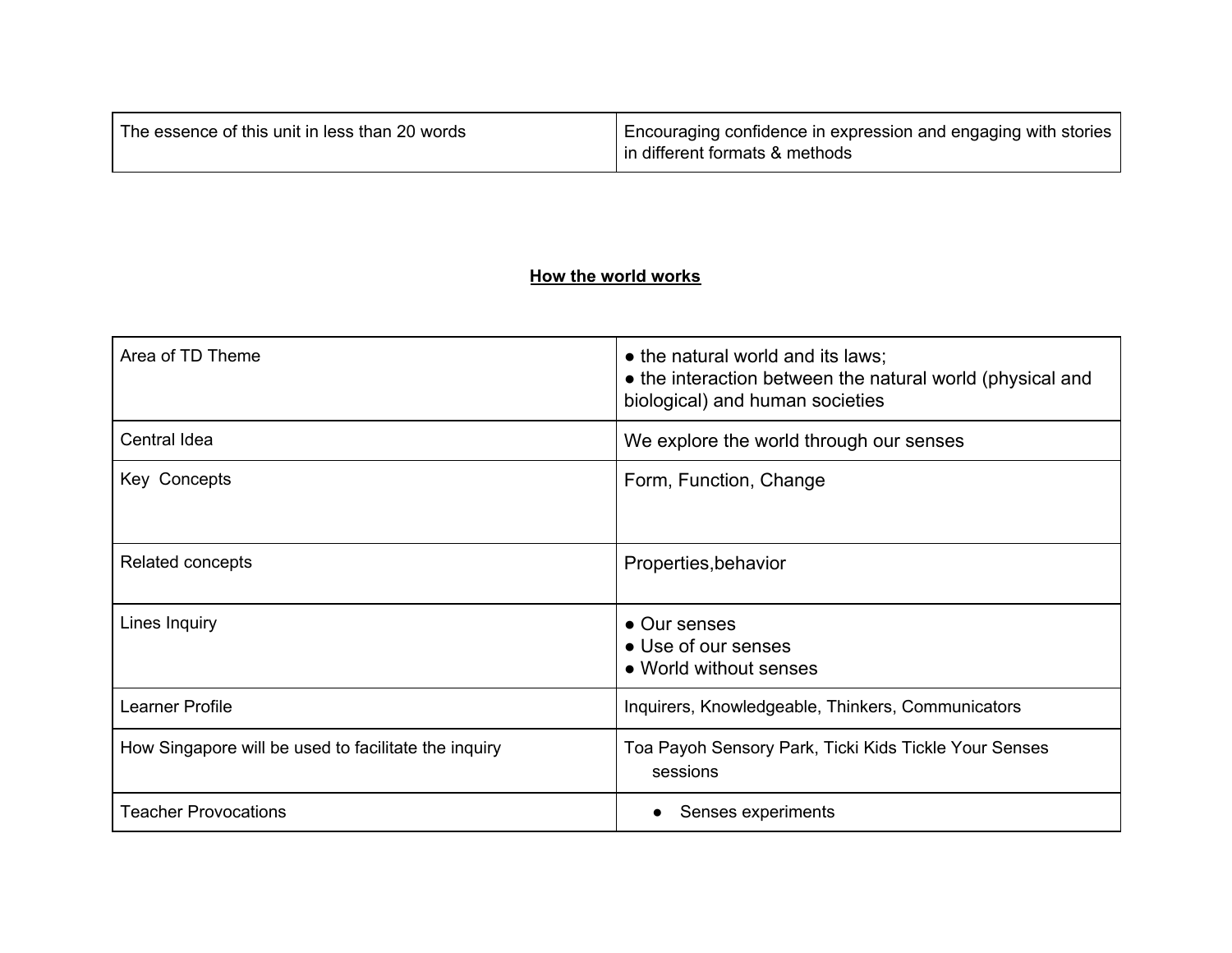| The essence of this unit in less than 20 words | Encouraging confidence in expression and engaging with stories<br>in different formats & methods |
|------------------------------------------------|--------------------------------------------------------------------------------------------------|
|                                                |                                                                                                  |

## **How the world works**

| Area of TD Theme                                     | • the natural world and its laws;<br>• the interaction between the natural world (physical and<br>biological) and human societies |
|------------------------------------------------------|-----------------------------------------------------------------------------------------------------------------------------------|
| Central Idea                                         | We explore the world through our senses                                                                                           |
| Key Concepts                                         | Form, Function, Change                                                                                                            |
| Related concepts                                     | Properties, behavior                                                                                                              |
| Lines Inquiry                                        | • Our senses<br>• Use of our senses<br>• World without senses                                                                     |
| Learner Profile                                      | Inquirers, Knowledgeable, Thinkers, Communicators                                                                                 |
| How Singapore will be used to facilitate the inquiry | Toa Payoh Sensory Park, Ticki Kids Tickle Your Senses<br>sessions                                                                 |
| <b>Teacher Provocations</b>                          | Senses experiments                                                                                                                |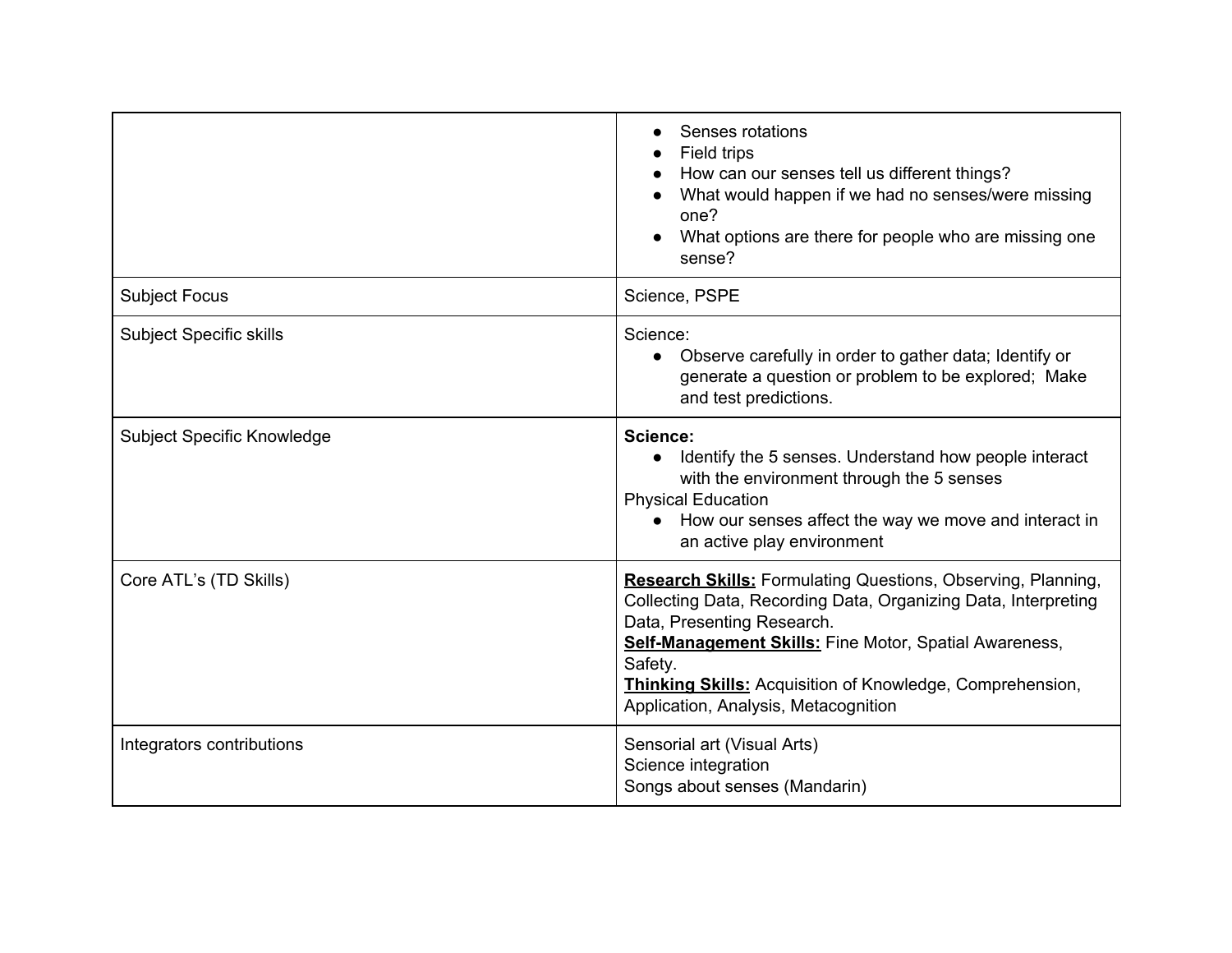|                                | Senses rotations<br>Field trips<br>How can our senses tell us different things?<br>What would happen if we had no senses/were missing<br>one?<br>What options are there for people who are missing one<br>sense?                                                                                                                                     |
|--------------------------------|------------------------------------------------------------------------------------------------------------------------------------------------------------------------------------------------------------------------------------------------------------------------------------------------------------------------------------------------------|
| <b>Subject Focus</b>           | Science, PSPE                                                                                                                                                                                                                                                                                                                                        |
| <b>Subject Specific skills</b> | Science:<br>Observe carefully in order to gather data; Identify or<br>$\bullet$<br>generate a question or problem to be explored; Make<br>and test predictions.                                                                                                                                                                                      |
| Subject Specific Knowledge     | Science:<br>Identify the 5 senses. Understand how people interact<br>$\bullet$<br>with the environment through the 5 senses<br><b>Physical Education</b><br>How our senses affect the way we move and interact in<br>$\bullet$<br>an active play environment                                                                                         |
| Core ATL's (TD Skills)         | <b>Research Skills:</b> Formulating Questions, Observing, Planning,<br>Collecting Data, Recording Data, Organizing Data, Interpreting<br>Data, Presenting Research.<br>Self-Management Skills: Fine Motor, Spatial Awareness,<br>Safety.<br><b>Thinking Skills:</b> Acquisition of Knowledge, Comprehension,<br>Application, Analysis, Metacognition |
| Integrators contributions      | Sensorial art (Visual Arts)<br>Science integration<br>Songs about senses (Mandarin)                                                                                                                                                                                                                                                                  |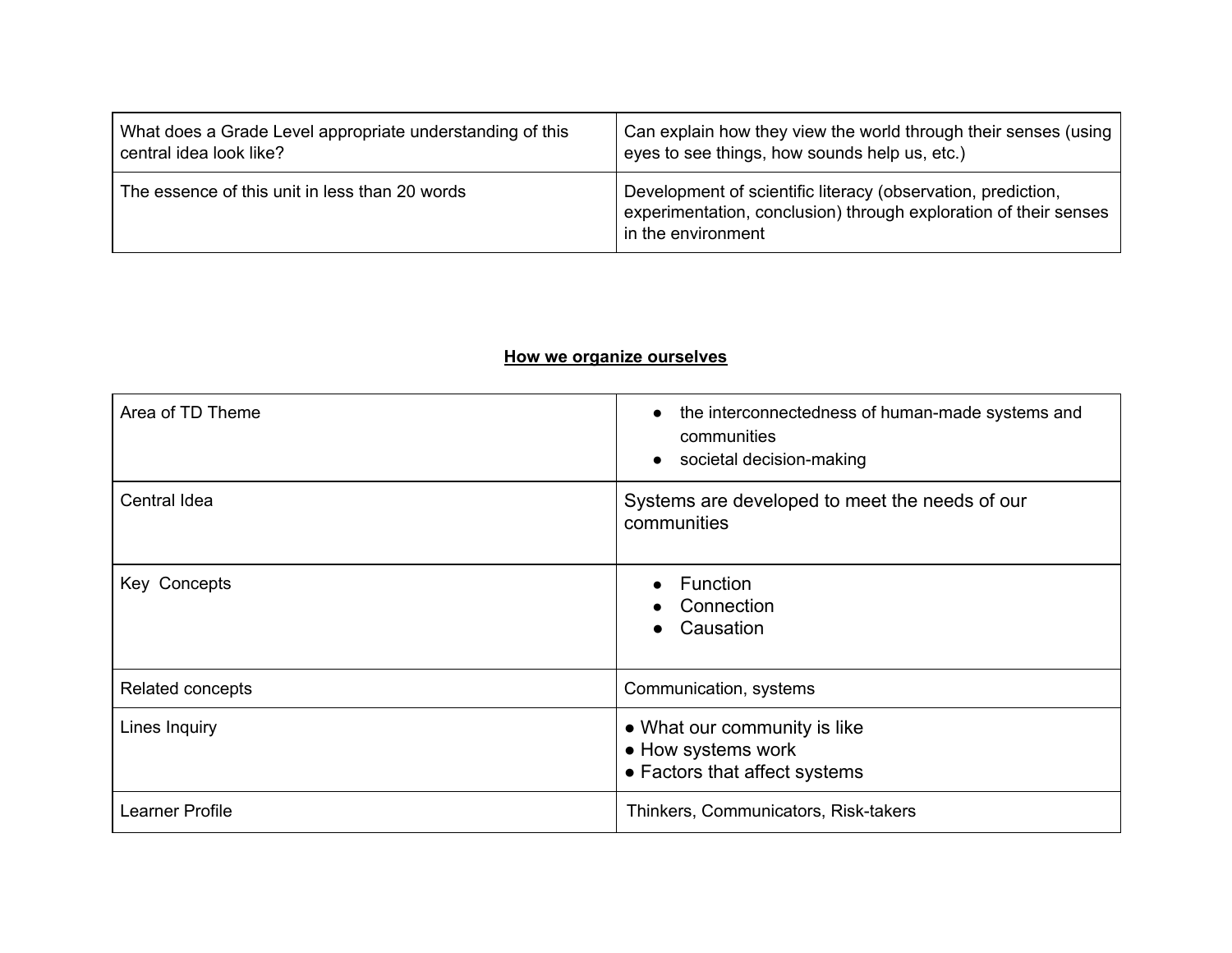| What does a Grade Level appropriate understanding of this | Can explain how they view the world through their senses (using                                                                                        |
|-----------------------------------------------------------|--------------------------------------------------------------------------------------------------------------------------------------------------------|
| central idea look like?                                   | eyes to see things, how sounds help us, etc.)                                                                                                          |
| The essence of this unit in less than 20 words            | Development of scientific literacy (observation, prediction,<br>experimentation, conclusion) through exploration of their senses<br>in the environment |

## **How we organize ourselves**

| Area of TD Theme | the interconnectedness of human-made systems and<br>$\bullet$<br>communities<br>societal decision-making<br>$\bullet$ |
|------------------|-----------------------------------------------------------------------------------------------------------------------|
| Central Idea     | Systems are developed to meet the needs of our<br>communities                                                         |
| Key Concepts     | Function<br>Connection<br>Causation<br>$\bullet$                                                                      |
| Related concepts | Communication, systems                                                                                                |
| Lines Inquiry    | • What our community is like<br>• How systems work<br>• Factors that affect systems                                   |
| Learner Profile  | Thinkers, Communicators, Risk-takers                                                                                  |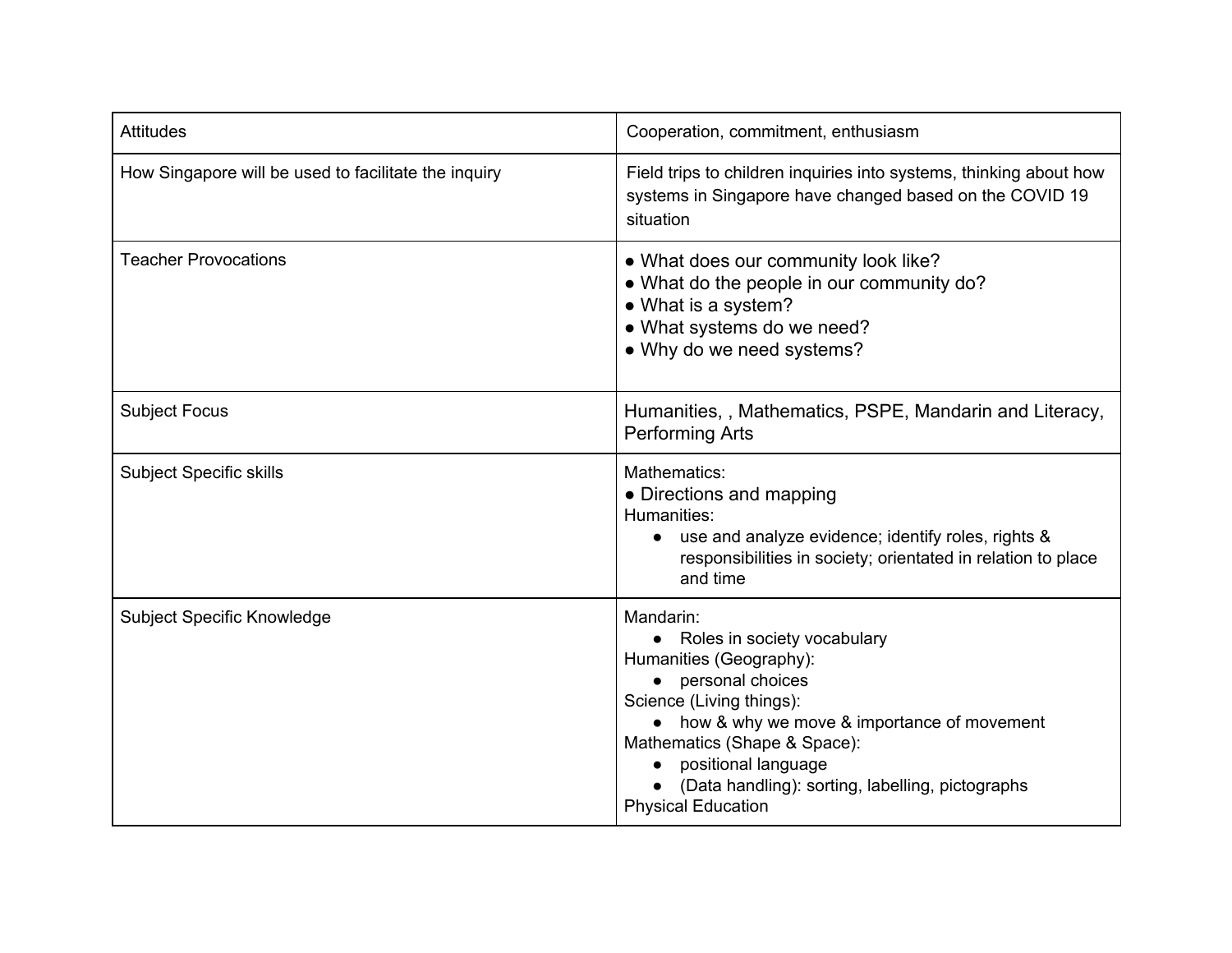| <b>Attitudes</b>                                     | Cooperation, commitment, enthusiasm                                                                                                                                                                                                                                                                             |
|------------------------------------------------------|-----------------------------------------------------------------------------------------------------------------------------------------------------------------------------------------------------------------------------------------------------------------------------------------------------------------|
| How Singapore will be used to facilitate the inquiry | Field trips to children inquiries into systems, thinking about how<br>systems in Singapore have changed based on the COVID 19<br>situation                                                                                                                                                                      |
| <b>Teacher Provocations</b>                          | • What does our community look like?<br>• What do the people in our community do?<br>• What is a system?<br>• What systems do we need?<br>• Why do we need systems?                                                                                                                                             |
| <b>Subject Focus</b>                                 | Humanities,, Mathematics, PSPE, Mandarin and Literacy,<br><b>Performing Arts</b>                                                                                                                                                                                                                                |
| <b>Subject Specific skills</b>                       | Mathematics:<br>• Directions and mapping<br>Humanities:<br>use and analyze evidence; identify roles, rights &<br>responsibilities in society; orientated in relation to place<br>and time                                                                                                                       |
| Subject Specific Knowledge                           | Mandarin:<br>• Roles in society vocabulary<br>Humanities (Geography):<br>• personal choices<br>Science (Living things):<br>• how & why we move & importance of movement<br>Mathematics (Shape & Space):<br>positional language<br>(Data handling): sorting, labelling, pictographs<br><b>Physical Education</b> |